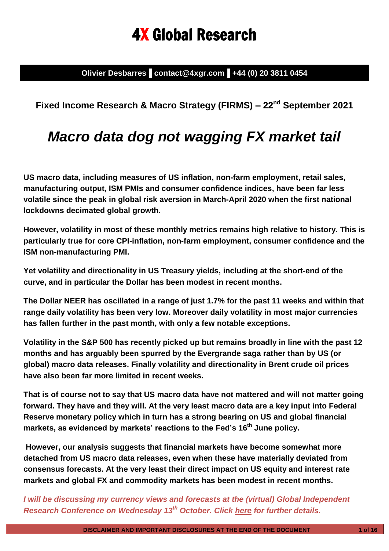# 4X Global Research

**Olivier Desbarres▐ contact@4xgr.com▐ +44 (0) 20 3811 0454**

# **Fixed Income Research & Macro Strategy (FIRMS) – 22nd September 2021**

# *Macro data dog not wagging FX market tail*

**US macro data, including measures of US inflation, non-farm employment, retail sales, manufacturing output, ISM PMIs and consumer confidence indices, have been far less volatile since the peak in global risk aversion in March-April 2020 when the first national lockdowns decimated global growth.**

**However, volatility in most of these monthly metrics remains high relative to history. This is particularly true for core CPI-inflation, non-farm employment, consumer confidence and the ISM non-manufacturing PMI.**

**Yet volatility and directionality in US Treasury yields, including at the short-end of the curve, and in particular the Dollar has been modest in recent months.** 

**The Dollar NEER has oscillated in a range of just 1.7% for the past 11 weeks and within that range daily volatility has been very low. Moreover daily volatility in most major currencies has fallen further in the past month, with only a few notable exceptions.** 

**Volatility in the S&P 500 has recently picked up but remains broadly in line with the past 12 months and has arguably been spurred by the Evergrande saga rather than by US (or global) macro data releases. Finally volatility and directionality in Brent crude oil prices have also been far more limited in recent weeks.**

**That is of course not to say that US macro data have not mattered and will not matter going forward. They have and they will. At the very least macro data are a key input into Federal Reserve monetary policy which in turn has a strong bearing on US and global financial markets, as evidenced by markets' reactions to the Fed's 16 th June policy.**

**However, our analysis suggests that financial markets have become somewhat more detached from US macro data releases, even when these have materially deviated from consensus forecasts. At the very least their direct impact on US equity and interest rate markets and global FX and commodity markets has been modest in recent months.**

*I will be discussing my currency views and forecasts at the (virtual) Global Independent Research Conference on Wednesday 13th October. Click [here](https://www.researchforinvestors.com/) for further details.*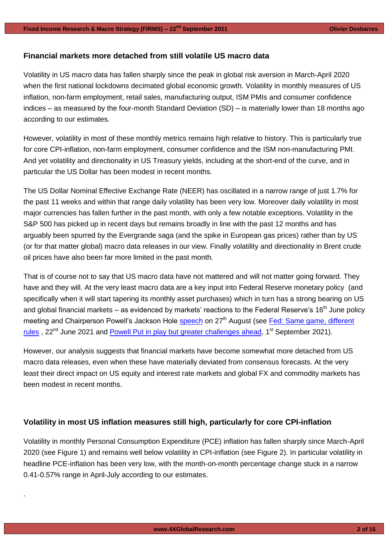### **Financial markets more detached from still volatile US macro data**

Volatility in US macro data has fallen sharply since the peak in global risk aversion in March-April 2020 when the first national lockdowns decimated global economic growth. Volatility in monthly measures of US inflation, non-farm employment, retail sales, manufacturing output, ISM PMIs and consumer confidence indices – as measured by the four-month Standard Deviation (SD) – is materially lower than 18 months ago according to our estimates.

However, volatility in most of these monthly metrics remains high relative to history. This is particularly true for core CPI-inflation, non-farm employment, consumer confidence and the ISM non-manufacturing PMI. And yet volatility and directionality in US Treasury yields, including at the short-end of the curve, and in particular the US Dollar has been modest in recent months.

The US Dollar Nominal Effective Exchange Rate (NEER) has oscillated in a narrow range of just 1.7% for the past 11 weeks and within that range daily volatility has been very low. Moreover daily volatility in most major currencies has fallen further in the past month, with only a few notable exceptions. Volatility in the S&P 500 has picked up in recent days but remains broadly in line with the past 12 months and has arguably been spurred by the Evergrande saga (and the spike in European gas prices) rather than by US (or for that matter global) macro data releases in our view. Finally volatility and directionality in Brent crude oil prices have also been far more limited in the past month.

That is of course not to say that US macro data have not mattered and will not matter going forward. They have and they will. At the very least macro data are a key input into Federal Reserve monetary policy (and specifically when it will start tapering its monthly asset purchases) which in turn has a strong bearing on US and global financial markets – as evidenced by markets' reactions to the Federal Reserve's  $16<sup>th</sup>$  June policy meeting and Chairperson Powell's Jackson Hole **speech** on 27<sup>th</sup> August (see Fed: Same game, different [rules](https://www.4xglobalresearch.com/wp-content/uploads/2021/09/4X-Global-Research_Powell-Put-in-play-but-greater-challenges-ahead.pdf),  $22^{nd}$  June 2021 and [Powell Put in play but greater challenges ahead,](https://www.4xglobalresearch.com/wp-content/uploads/2021/09/4X-Global-Research_Powell-Put-in-play-but-greater-challenges-ahead.pdf)  $1^{st}$  September 2021).

However, our analysis suggests that financial markets have become somewhat more detached from US macro data releases, even when these have materially deviated from consensus forecasts. At the very least their direct impact on US equity and interest rate markets and global FX and commodity markets has been modest in recent months.

#### **Volatility in most US inflation measures still high, particularly for core CPI-inflation**

.

Volatility in monthly Personal Consumption Expenditure (PCE) inflation has fallen sharply since March-April 2020 (see Figure 1) and remains well below volatility in CPI-inflation (see Figure 2). In particular volatility in headline PCE-inflation has been very low, with the month-on-month percentage change stuck in a narrow 0.41-0.57% range in April-July according to our estimates.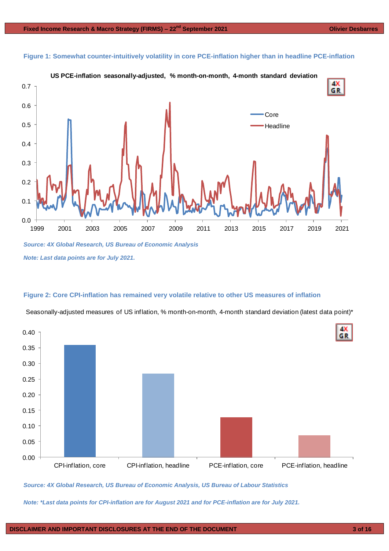



#### **Figure 2: Core CPI-inflation has remained very volatile relative to other US measures of inflation**

Seasonally-adjusted measures of US inflation, % month-on-month, 4-month standard deviation (latest data point)\*



*Source: 4X Global Research, US Bureau of Economic Analysis, US Bureau of Labour Statistics*

*Note: \*Last data points for CPI-inflation are for August 2021 and for PCE-inflation are for July 2021.*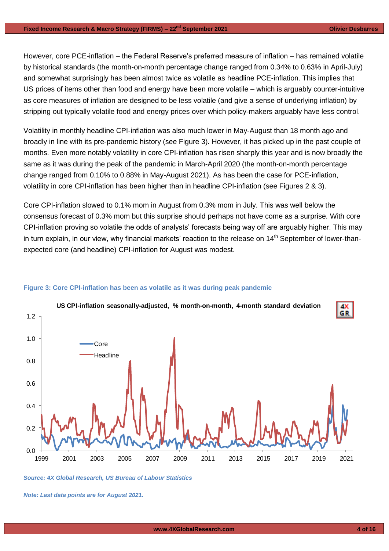However, core PCE-inflation – the Federal Reserve's preferred measure of inflation – has remained volatile by historical standards (the month-on-month percentage change ranged from 0.34% to 0.63% in April-July) and somewhat surprisingly has been almost twice as volatile as headline PCE-inflation. This implies that US prices of items other than food and energy have been more volatile – which is arguably counter-intuitive as core measures of inflation are designed to be less volatile (and give a sense of underlying inflation) by stripping out typically volatile food and energy prices over which policy-makers arguably have less control.

Volatility in monthly headline CPI-inflation was also much lower in May-August than 18 month ago and broadly in line with its pre-pandemic history (see Figure 3). However, it has picked up in the past couple of months. Even more notably volatility in core CPI-inflation has risen sharply this year and is now broadly the same as it was during the peak of the pandemic in March-April 2020 (the month-on-month percentage change ranged from 0.10% to 0.88% in May-August 2021). As has been the case for PCE-inflation, volatility in core CPI-inflation has been higher than in headline CPI-inflation (see Figures 2 & 3).

Core CPI-inflation slowed to 0.1% mom in August from 0.3% mom in July. This was well below the consensus forecast of 0.3% mom but this surprise should perhaps not have come as a surprise. With core CPI-inflation proving so volatile the odds of analysts' forecasts being way off are arguably higher. This may in turn explain, in our view, why financial markets' reaction to the release on 14<sup>th</sup> September of lower-thanexpected core (and headline) CPI-inflation for August was modest.



#### **Figure 3: Core CPI-inflation has been as volatile as it was during peak pandemic**

*Source: 4X Global Research, US Bureau of Labour Statistics*

*Note: Last data points are for August 2021.*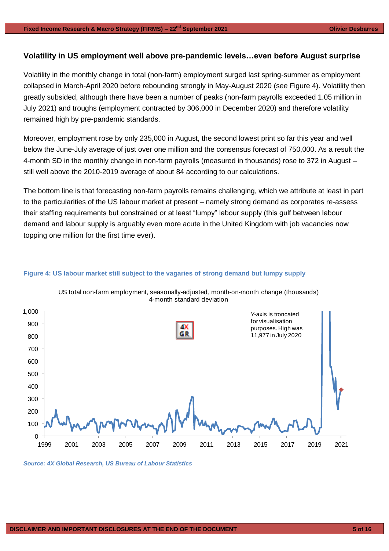## **Volatility in US employment well above pre-pandemic levels…even before August surprise**

Volatility in the monthly change in total (non-farm) employment surged last spring-summer as employment collapsed in March-April 2020 before rebounding strongly in May-August 2020 (see Figure 4). Volatility then greatly subsided, although there have been a number of peaks (non-farm payrolls exceeded 1.05 million in July 2021) and troughs (employment contracted by 306,000 in December 2020) and therefore volatility remained high by pre-pandemic standards.

Moreover, employment rose by only 235,000 in August, the second lowest print so far this year and well below the June-July average of just over one million and the consensus forecast of 750,000. As a result the 4-month SD in the monthly change in non-farm payrolls (measured in thousands) rose to 372 in August – still well above the 2010-2019 average of about 84 according to our calculations.

The bottom line is that forecasting non-farm payrolls remains challenging, which we attribute at least in part to the particularities of the US labour market at present – namely strong demand as corporates re-assess their staffing requirements but constrained or at least "lumpy" labour supply (this gulf between labour demand and labour supply is arguably even more acute in the United Kingdom with job vacancies now topping one million for the first time ever).



# **Figure 4: US labour market still subject to the vagaries of strong demand but lumpy supply**

*Source: 4X Global Research, US Bureau of Labour Statistics*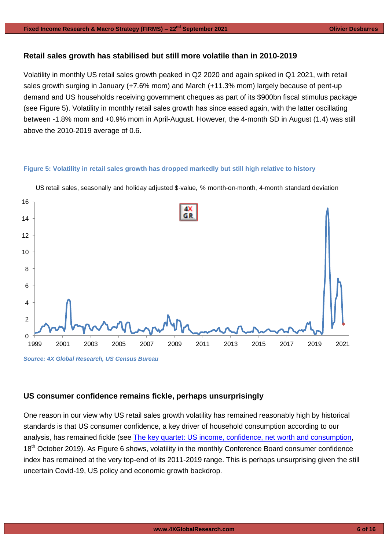## **Retail sales growth has stabilised but still more volatile than in 2010-2019**

Volatility in monthly US retail sales growth peaked in Q2 2020 and again spiked in Q1 2021, with retail sales growth surging in January (+7.6% mom) and March (+11.3% mom) largely because of pent-up demand and US households receiving government cheques as part of its \$900bn fiscal stimulus package (see Figure 5). Volatility in monthly retail sales growth has since eased again, with the latter oscillating between -1.8% mom and +0.9% mom in April-August. However, the 4-month SD in August (1.4) was still above the 2010-2019 average of 0.6.

#### **Figure 5: Volatility in retail sales growth has dropped markedly but still high relative to history**



US retail sales, seasonally and holiday adjusted \$-value, % month-on-month, 4-month standard deviation

# **US consumer confidence remains fickle, perhaps unsurprisingly**

One reason in our view why US retail sales growth volatility has remained reasonably high by historical standards is that US consumer confidence, a key driver of household consumption according to our analysis, has remained fickle (see [The key quartet: US income, confidence, net worth and consumption,](https://gallery.mailchimp.com/948838a86ce72ab6d8019a39d/files/c09adf3c-3f2b-4f46-94fc-006835409bec/4X_Global_Research_The_key_quartet__US_income_confidence_net_worth_and_consumption.pdf) 18<sup>th</sup> October 2019). As Figure 6 shows, volatility in the monthly Conference Board consumer confidence index has remained at the very top-end of its 2011-2019 range. This is perhaps unsurprising given the still uncertain Covid-19, US policy and economic growth backdrop.

*Source: 4X Global Research, US Census Bureau*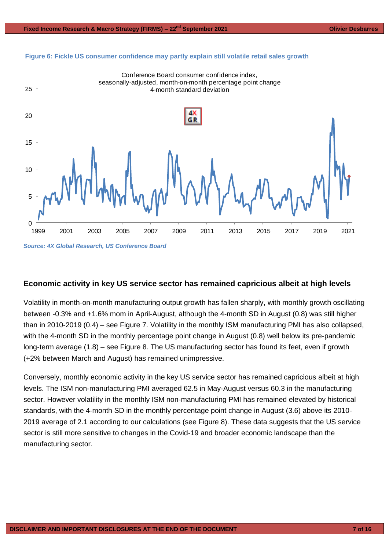



#### **Economic activity in key US service sector has remained capricious albeit at high levels**

Volatility in month-on-month manufacturing output growth has fallen sharply, with monthly growth oscillating between -0.3% and +1.6% mom in April-August, although the 4-month SD in August (0.8) was still higher than in 2010-2019 (0.4) – see Figure 7. Volatility in the monthly ISM manufacturing PMI has also collapsed, with the 4-month SD in the monthly percentage point change in August (0.8) well below its pre-pandemic long-term average (1.8) – see Figure 8. The US manufacturing sector has found its feet, even if growth (+2% between March and August) has remained unimpressive.

Conversely, monthly economic activity in the key US service sector has remained capricious albeit at high levels. The ISM non-manufacturing PMI averaged 62.5 in May-August versus 60.3 in the manufacturing sector. However volatility in the monthly ISM non-manufacturing PMI has remained elevated by historical standards, with the 4-month SD in the monthly percentage point change in August (3.6) above its 2010- 2019 average of 2.1 according to our calculations (see Figure 8). These data suggests that the US service sector is still more sensitive to changes in the Covid-19 and broader economic landscape than the manufacturing sector.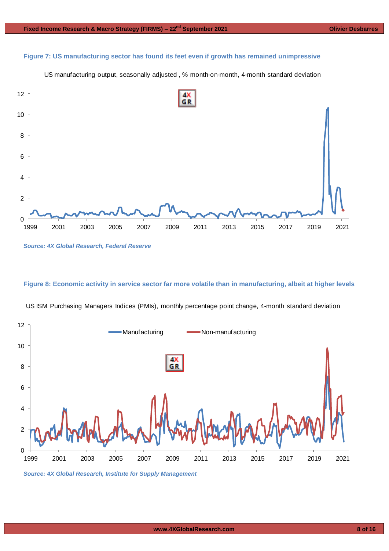#### **Figure 7: US manufacturing sector has found its feet even if growth has remained unimpressive**

7: US manufacturing sector has found its feet even if growth has remained unimpressive<br>US manufacturing output, seasonally adjusted , % month-on-month, 4-month standard deviation



*Source: 4X Global Research, Federal Reserve*

#### **Figure 8: Economic activity in service sector far more volatile than in manufacturing, albeit at higher levels**



US ISM Purchasing Managers Indices (PMIs), monthly percentage point change, 4-month standard deviation

*Source: 4X Global Research, Institute for Supply Management*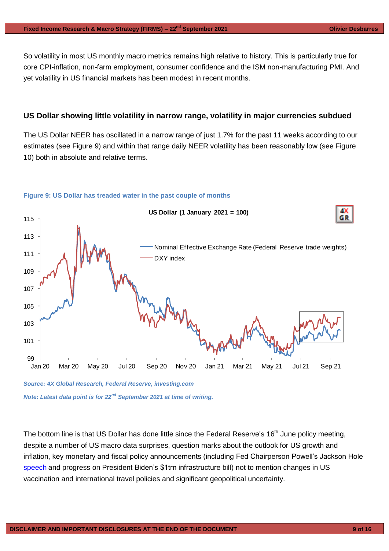So volatility in most US monthly macro metrics remains high relative to history. This is particularly true for core CPI-inflation, non-farm employment, consumer confidence and the ISM non-manufacturing PMI. And yet volatility in US financial markets has been modest in recent months.

#### **US Dollar showing little volatility in narrow range, volatility in major currencies subdued**

The US Dollar NEER has oscillated in a narrow range of just 1.7% for the past 11 weeks according to our estimates (see Figure 9) and within that range daily NEER volatility has been reasonably low (see Figure 10) both in absolute and relative terms.



#### **Figure 9: US Dollar has treaded water in the past couple of months**

*Source: 4X Global Research, Federal Reserve, investing.com Note: Latest data point is for 22nd September 2021 at time of writing.*

The bottom line is that US Dollar has done little since the Federal Reserve's 16<sup>th</sup> June policy meeting, despite a number of US macro data surprises, question marks about the outlook for US growth and inflation, key monetary and fiscal policy announcements (including Fed Chairperson Powell's Jackson Hole [speech](https://www.federalreserve.gov/newsevents/speech/powell20210827a.htm) and progress on President Biden's \$1trn infrastructure bill) not to mention changes in US vaccination and international travel policies and significant geopolitical uncertainty.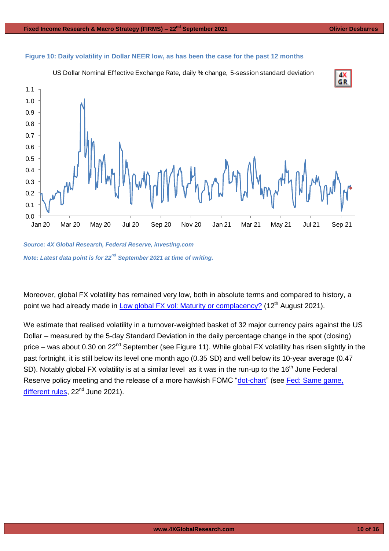

#### **Figure 10: Daily volatility in Dollar NEER low, as has been the case for the past 12 months**

*Source: 4X Global Research, Federal Reserve, investing.com Note: Latest data point is for 22nd September 2021 at time of writing.*

Moreover, global FX volatility has remained very low, both in absolute terms and compared to history, a point we had already made in **Low global FX vol: Maturity or complacency**? (12<sup>th</sup> August 2021).

We estimate that realised volatility in a turnover-weighted basket of 32 major currency pairs against the US Dollar – measured by the 5-day Standard Deviation in the daily percentage change in the spot (closing) price – was about 0.30 on 22<sup>nd</sup> September (see Figure 11). While global FX volatility has risen slightly in the past fortnight, it is still below its level one month ago (0.35 SD) and well below its 10-year average (0.47 SD). Notably global FX volatility is at a similar level as it was in the run-up to the  $16<sup>th</sup>$  June Federal Reserve policy meeting and the release of a more hawkish FOMC ["dot-chart"](https://www.federalreserve.gov/monetarypolicy/files/fomcprojtabl20210616.pdf) (see Fed: Same game, [different rules,](https://www.4xglobalresearch.com/wp-content/uploads/2021/06/4X-Global-Research_Fed_Same-game-different-rules.pdf) 22<sup>nd</sup> June 2021).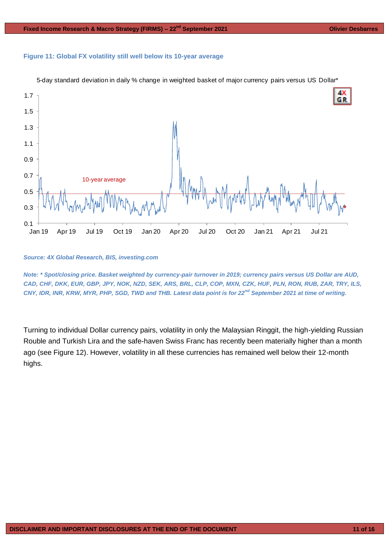#### **Figure 11: Global FX volatility still well below its 10-year average**



5-day standard deviation in daily % change in weighted basket of major currency pairs versus US Dollar\*

#### *Source: 4X Global Research, BIS, investing.com*

*Note: \* Spot/closing price. Basket weighted by currency-pair turnover in 2019; currency pairs versus US Dollar are AUD, CAD, CHF, DKK, EUR, GBP, JPY, NOK, NZD, SEK, ARS, BRL, CLP, COP, MXN, CZK, HUF, PLN, RON, RUB, ZAR, TRY, ILS, CNY, IDR, INR, KRW, MYR, PHP, SGD, TWD and THB. Latest data point is for 22nd September 2021 at time of writing.*

Turning to individual Dollar currency pairs, volatility in only the Malaysian Ringgit, the high-yielding Russian Rouble and Turkish Lira and the safe-haven Swiss Franc has recently been materially higher than a month ago (see Figure 12). However, volatility in all these currencies has remained well below their 12-month highs.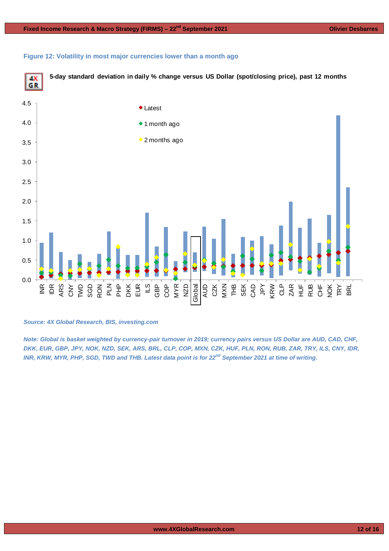





*Source: 4X Global Research, BIS, investing.com*

*Note: Global is basket weighted by currency-pair turnover in 2019; currency pairs versus US Dollar are AUD, CAD, CHF, DKK, EUR, GBP, JPY, NOK, NZD, SEK, ARS, BRL, CLP, COP, MXN, CZK, HUF, PLN, RON, RUB, ZAR, TRY, ILS, CNY, IDR, INR, KRW, MYR, PHP, SGD, TWD and THB. Latest data point is for 22nd September 2021 at time of writing.*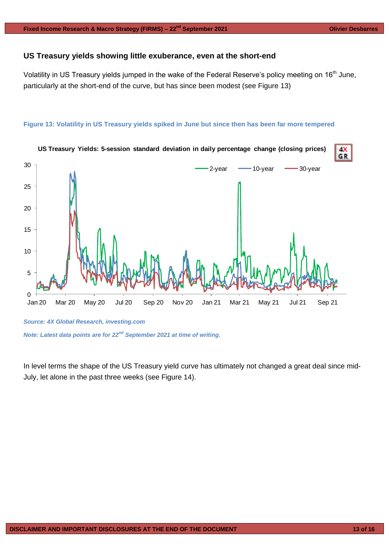### **US Treasury yields showing little exuberance, even at the short-end**

Volatility in US Treasury yields jumped in the wake of the Federal Reserve's policy meeting on 16<sup>th</sup> June, particularly at the short-end of the curve, but has since been modest (see Figure 13)

#### **Figure 13: Volatility in US Treasury yields spiked in June but since then has been far more tempered**



*Note: Latest data points are for 22nd September 2021 at time of writing.*

In level terms the shape of the US Treasury yield curve has ultimately not changed a great deal since mid-July, let alone in the past three weeks (see Figure 14).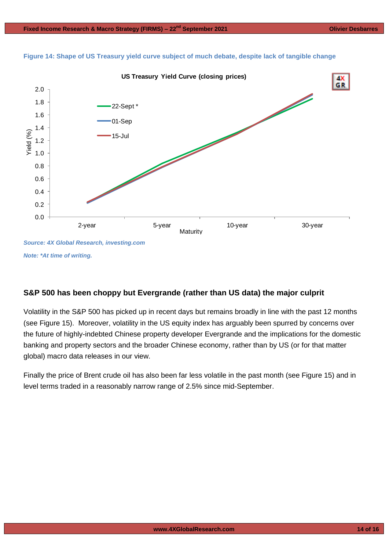

**Figure 14: Shape of US Treasury yield curve subject of much debate, despite lack of tangible change**

*Note: \*At time of writing.*

## **S&P 500 has been choppy but Evergrande (rather than US data) the major culprit**

Volatility in the S&P 500 has picked up in recent days but remains broadly in line with the past 12 months (see Figure 15). Moreover, volatility in the US equity index has arguably been spurred by concerns over the future of highly-indebted Chinese property developer Evergrande and the implications for the domestic banking and property sectors and the broader Chinese economy, rather than by US (or for that matter global) macro data releases in our view.

Finally the price of Brent crude oil has also been far less volatile in the past month (see Figure 15) and in level terms traded in a reasonably narrow range of 2.5% since mid-September.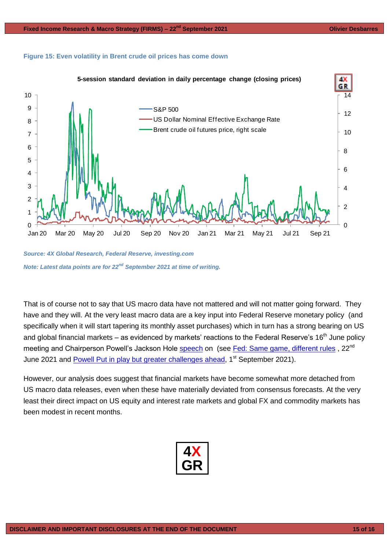#### **Figure 15: Even volatility in Brent crude oil prices has come down**



*Source: 4X Global Research, Federal Reserve, investing.com Note: Latest data points are for 22nd September 2021 at time of writing.*

That is of course not to say that US macro data have not mattered and will not matter going forward. They have and they will. At the very least macro data are a key input into Federal Reserve monetary policy (and specifically when it will start tapering its monthly asset purchases) which in turn has a strong bearing on US and global financial markets – as evidenced by markets' reactions to the Federal Reserve's  $16<sup>th</sup>$  June policy meeting and Chairperson Powell's Jackson Hole [speech](https://www.federalreserve.gov/newsevents/speech/powell20210827a.htm) on (see [Fed: Same game, different rules](https://www.4xglobalresearch.com/wp-content/uploads/2021/09/4X-Global-Research_Powell-Put-in-play-but-greater-challenges-ahead.pdf), 22<sup>nd</sup> June 2021 and [Powell Put in play but greater challenges ahead,](https://www.4xglobalresearch.com/wp-content/uploads/2021/09/4X-Global-Research_Powell-Put-in-play-but-greater-challenges-ahead.pdf) 1<sup>st</sup> September 2021).

However, our analysis does suggest that financial markets have become somewhat more detached from US macro data releases, even when these have materially deviated from consensus forecasts. At the very least their direct impact on US equity and interest rate markets and global FX and commodity markets has been modest in recent months.